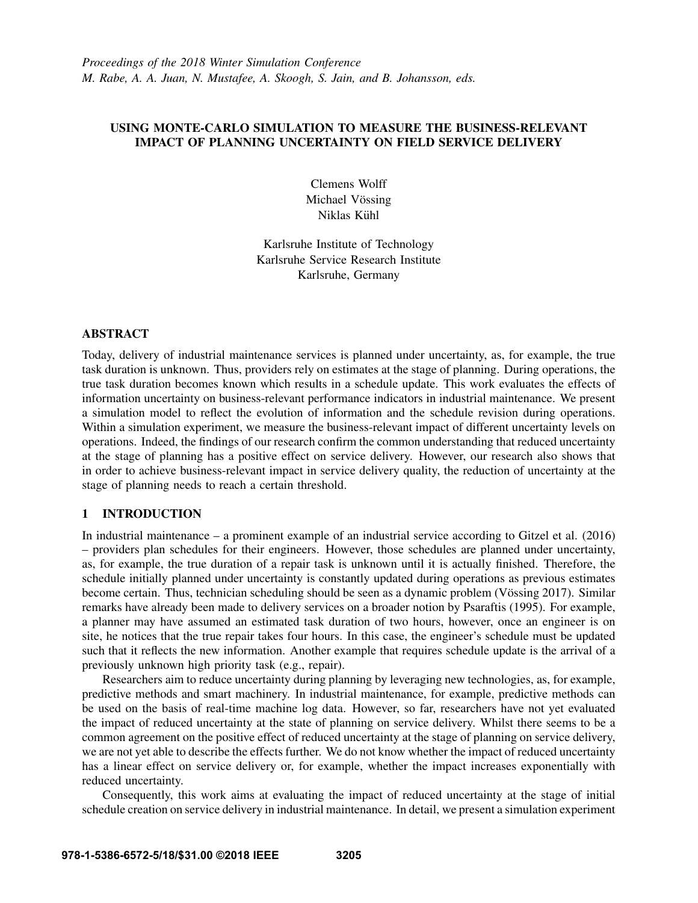## USING MONTE-CARLO SIMULATION TO MEASURE THE BUSINESS-RELEVANT IMPACT OF PLANNING UNCERTAINTY ON FIELD SERVICE DELIVERY

Clemens Wolff Michael Vössing Niklas Kühl

Karlsruhe Institute of Technology Karlsruhe Service Research Institute Karlsruhe, Germany

### ABSTRACT

Today, delivery of industrial maintenance services is planned under uncertainty, as, for example, the true task duration is unknown. Thus, providers rely on estimates at the stage of planning. During operations, the true task duration becomes known which results in a schedule update. This work evaluates the effects of information uncertainty on business-relevant performance indicators in industrial maintenance. We present a simulation model to reflect the evolution of information and the schedule revision during operations. Within a simulation experiment, we measure the business-relevant impact of different uncertainty levels on operations. Indeed, the findings of our research confirm the common understanding that reduced uncertainty at the stage of planning has a positive effect on service delivery. However, our research also shows that in order to achieve business-relevant impact in service delivery quality, the reduction of uncertainty at the stage of planning needs to reach a certain threshold.

# 1 INTRODUCTION

In industrial maintenance – a prominent example of an industrial service according to Gitzel et al. (2016) – providers plan schedules for their engineers. However, those schedules are planned under uncertainty, as, for example, the true duration of a repair task is unknown until it is actually finished. Therefore, the schedule initially planned under uncertainty is constantly updated during operations as previous estimates become certain. Thus, technician scheduling should be seen as a dynamic problem (Vössing 2017). Similar remarks have already been made to delivery services on a broader notion by Psaraftis (1995). For example, a planner may have assumed an estimated task duration of two hours, however, once an engineer is on site, he notices that the true repair takes four hours. In this case, the engineer's schedule must be updated such that it reflects the new information. Another example that requires schedule update is the arrival of a previously unknown high priority task (e.g., repair).

Researchers aim to reduce uncertainty during planning by leveraging new technologies, as, for example, predictive methods and smart machinery. In industrial maintenance, for example, predictive methods can be used on the basis of real-time machine log data. However, so far, researchers have not yet evaluated the impact of reduced uncertainty at the state of planning on service delivery. Whilst there seems to be a common agreement on the positive effect of reduced uncertainty at the stage of planning on service delivery, we are not yet able to describe the effects further. We do not know whether the impact of reduced uncertainty has a linear effect on service delivery or, for example, whether the impact increases exponentially with reduced uncertainty.

Consequently, this work aims at evaluating the impact of reduced uncertainty at the stage of initial schedule creation on service delivery in industrial maintenance. In detail, we present a simulation experiment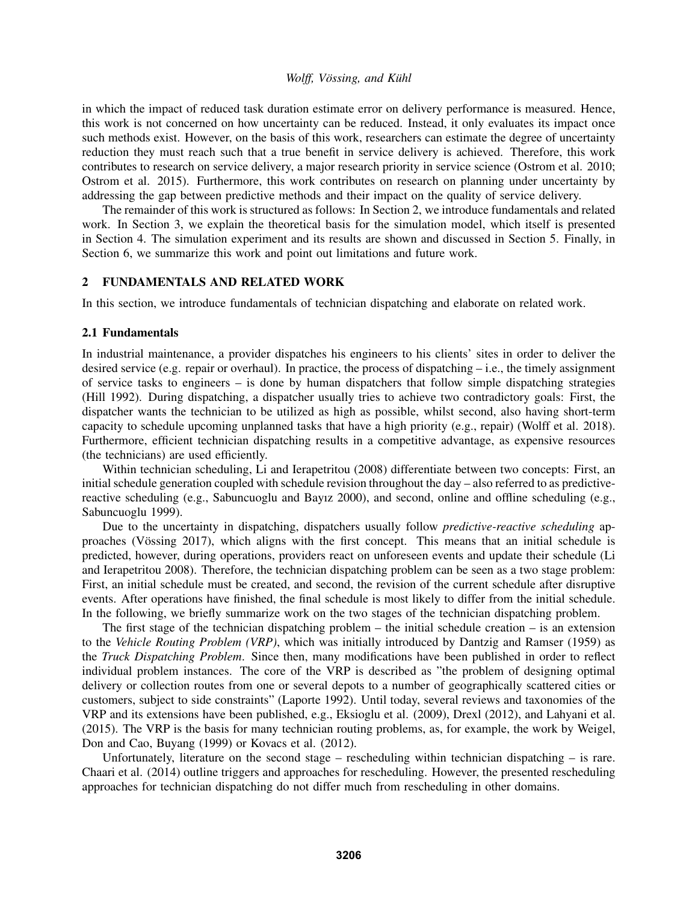in which the impact of reduced task duration estimate error on delivery performance is measured. Hence, this work is not concerned on how uncertainty can be reduced. Instead, it only evaluates its impact once such methods exist. However, on the basis of this work, researchers can estimate the degree of uncertainty reduction they must reach such that a true benefit in service delivery is achieved. Therefore, this work contributes to research on service delivery, a major research priority in service science (Ostrom et al. 2010; Ostrom et al. 2015). Furthermore, this work contributes on research on planning under uncertainty by addressing the gap between predictive methods and their impact on the quality of service delivery.

The remainder of this work is structured as follows: In Section 2, we introduce fundamentals and related work. In Section 3, we explain the theoretical basis for the simulation model, which itself is presented in Section 4. The simulation experiment and its results are shown and discussed in Section 5. Finally, in Section 6, we summarize this work and point out limitations and future work.

## 2 FUNDAMENTALS AND RELATED WORK

In this section, we introduce fundamentals of technician dispatching and elaborate on related work.

### 2.1 Fundamentals

In industrial maintenance, a provider dispatches his engineers to his clients' sites in order to deliver the desired service (e.g. repair or overhaul). In practice, the process of dispatching  $-$  i.e., the timely assignment of service tasks to engineers – is done by human dispatchers that follow simple dispatching strategies (Hill 1992). During dispatching, a dispatcher usually tries to achieve two contradictory goals: First, the dispatcher wants the technician to be utilized as high as possible, whilst second, also having short-term capacity to schedule upcoming unplanned tasks that have a high priority (e.g., repair) (Wolff et al. 2018). Furthermore, efficient technician dispatching results in a competitive advantage, as expensive resources (the technicians) are used efficiently.

Within technician scheduling, Li and Ierapetritou (2008) differentiate between two concepts: First, an initial schedule generation coupled with schedule revision throughout the day – also referred to as predictivereactive scheduling (e.g., Sabuncuoglu and Bayız 2000), and second, online and offline scheduling (e.g., Sabuncuoglu 1999).

Due to the uncertainty in dispatching, dispatchers usually follow *predictive-reactive scheduling* approaches (Vössing 2017), which aligns with the first concept. This means that an initial schedule is predicted, however, during operations, providers react on unforeseen events and update their schedule (Li and Ierapetritou 2008). Therefore, the technician dispatching problem can be seen as a two stage problem: First, an initial schedule must be created, and second, the revision of the current schedule after disruptive events. After operations have finished, the final schedule is most likely to differ from the initial schedule. In the following, we briefly summarize work on the two stages of the technician dispatching problem.

The first stage of the technician dispatching problem – the initial schedule creation – is an extension to the *Vehicle Routing Problem (VRP)*, which was initially introduced by Dantzig and Ramser (1959) as the *Truck Dispatching Problem*. Since then, many modifications have been published in order to reflect individual problem instances. The core of the VRP is described as "the problem of designing optimal delivery or collection routes from one or several depots to a number of geographically scattered cities or customers, subject to side constraints" (Laporte 1992). Until today, several reviews and taxonomies of the VRP and its extensions have been published, e.g., Eksioglu et al. (2009), Drexl (2012), and Lahyani et al. (2015). The VRP is the basis for many technician routing problems, as, for example, the work by Weigel, Don and Cao, Buyang (1999) or Kovacs et al. (2012).

Unfortunately, literature on the second stage – rescheduling within technician dispatching – is rare. Chaari et al. (2014) outline triggers and approaches for rescheduling. However, the presented rescheduling approaches for technician dispatching do not differ much from rescheduling in other domains.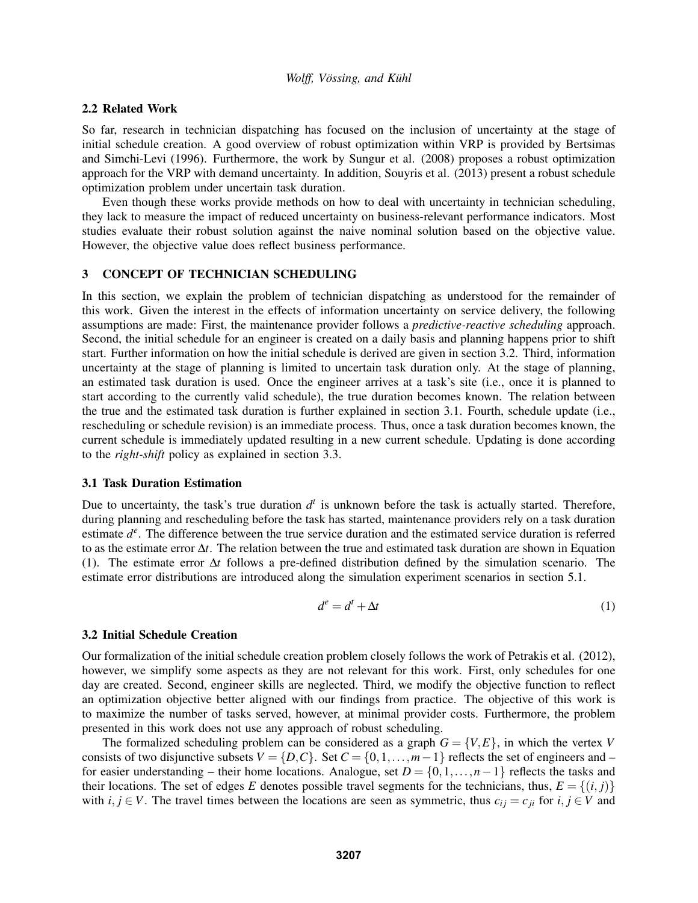### 2.2 Related Work

So far, research in technician dispatching has focused on the inclusion of uncertainty at the stage of initial schedule creation. A good overview of robust optimization within VRP is provided by Bertsimas and Simchi-Levi (1996). Furthermore, the work by Sungur et al. (2008) proposes a robust optimization approach for the VRP with demand uncertainty. In addition, Souyris et al. (2013) present a robust schedule optimization problem under uncertain task duration.

Even though these works provide methods on how to deal with uncertainty in technician scheduling, they lack to measure the impact of reduced uncertainty on business-relevant performance indicators. Most studies evaluate their robust solution against the naive nominal solution based on the objective value. However, the objective value does reflect business performance.

### 3 CONCEPT OF TECHNICIAN SCHEDULING

In this section, we explain the problem of technician dispatching as understood for the remainder of this work. Given the interest in the effects of information uncertainty on service delivery, the following assumptions are made: First, the maintenance provider follows a *predictive-reactive scheduling* approach. Second, the initial schedule for an engineer is created on a daily basis and planning happens prior to shift start. Further information on how the initial schedule is derived are given in section 3.2. Third, information uncertainty at the stage of planning is limited to uncertain task duration only. At the stage of planning, an estimated task duration is used. Once the engineer arrives at a task's site (i.e., once it is planned to start according to the currently valid schedule), the true duration becomes known. The relation between the true and the estimated task duration is further explained in section 3.1. Fourth, schedule update (i.e., rescheduling or schedule revision) is an immediate process. Thus, once a task duration becomes known, the current schedule is immediately updated resulting in a new current schedule. Updating is done according to the *right-shift* policy as explained in section 3.3.

#### 3.1 Task Duration Estimation

Due to uncertainty, the task's true duration  $d<sup>t</sup>$  is unknown before the task is actually started. Therefore, during planning and rescheduling before the task has started, maintenance providers rely on a task duration estimate  $d^e$ . The difference between the true service duration and the estimated service duration is referred to as the estimate error ∆*t*. The relation between the true and estimated task duration are shown in Equation (1). The estimate error ∆*t* follows a pre-defined distribution defined by the simulation scenario. The estimate error distributions are introduced along the simulation experiment scenarios in section 5.1.

$$
d^e = d^t + \Delta t \tag{1}
$$

### 3.2 Initial Schedule Creation

Our formalization of the initial schedule creation problem closely follows the work of Petrakis et al. (2012), however, we simplify some aspects as they are not relevant for this work. First, only schedules for one day are created. Second, engineer skills are neglected. Third, we modify the objective function to reflect an optimization objective better aligned with our findings from practice. The objective of this work is to maximize the number of tasks served, however, at minimal provider costs. Furthermore, the problem presented in this work does not use any approach of robust scheduling.

The formalized scheduling problem can be considered as a graph  $G = \{V, E\}$ , in which the vertex *V* consists of two disjunctive subsets  $V = \{D, C\}$ . Set  $C = \{0, 1, ..., m-1\}$  reflects the set of engineers and – for easier understanding – their home locations. Analogue, set  $D = \{0, 1, \ldots, n-1\}$  reflects the tasks and their locations. The set of edges *E* denotes possible travel segments for the technicians, thus,  $E = \{(i, j)\}\$ with  $i, j \in V$ . The travel times between the locations are seen as symmetric, thus  $c_{ij} = c_{ji}$  for  $i, j \in V$  and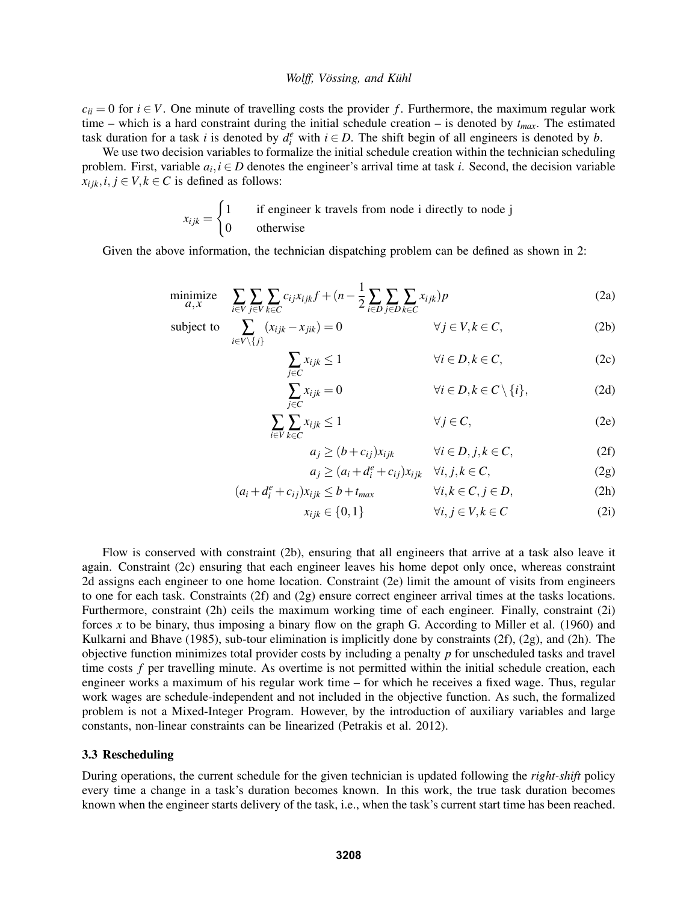$c_{ii} = 0$  for  $i \in V$ . One minute of travelling costs the provider *f*. Furthermore, the maximum regular work time – which is a hard constraint during the initial schedule creation – is denoted by *tmax*. The estimated task duration for a task *i* is denoted by  $d_i^e$  with  $i \in D$ . The shift begin of all engineers is denoted by *b*.

We use two decision variables to formalize the initial schedule creation within the technician scheduling problem. First, variable  $a_i, i \in D$  denotes the engineer's arrival time at task *i*. Second, the decision variable  $x_{ijk}$ ,  $i, j \in V, k \in C$  is defined as follows:

$$
x_{ijk} = \begin{cases} 1 & \text{if engineer k travels from node i directly to node j} \\ 0 & \text{otherwise} \end{cases}
$$

Given the above information, the technician dispatching problem can be defined as shown in 2:

$$
\underset{a,x}{\text{minimize}} \quad \sum_{i \in V} \sum_{j \in V} \sum_{k \in C} c_{ij} x_{ijk} f + (n - \frac{1}{2} \sum_{i \in D} \sum_{j \in D} \sum_{k \in C} x_{ijk}) p \tag{2a}
$$

subject to 
$$
\sum_{i \in V \setminus \{j\}} (x_{ijk} - x_{jik}) = 0 \qquad \forall j \in V, k \in C,
$$
 (2b)

$$
\sum_{j \in C} x_{ijk} \le 1 \qquad \forall i \in D, k \in C,
$$
 (2c)

$$
\sum_{j \in C} x_{ijk} = 0 \qquad \qquad \forall i \in D, k \in C \setminus \{i\}, \tag{2d}
$$

$$
\sum_{i \in V} \sum_{k \in C} x_{ijk} \le 1 \qquad \forall j \in C,
$$
 (2e)

$$
a_j \ge (b + c_{ij})x_{ijk} \qquad \forall i \in D, j, k \in C,
$$
 (2f)

$$
a_j \ge (a_i + d_i^e + c_{ij})x_{ijk} \quad \forall i, j, k \in C,
$$
 (2g)

$$
(a_i + d_i^e + c_{ij})x_{ijk} \le b + t_{max} \qquad \forall i, k \in C, j \in D,
$$
 (2h)

$$
x_{ijk} \in \{0, 1\} \qquad \forall i, j \in V, k \in C \tag{2i}
$$

Flow is conserved with constraint (2b), ensuring that all engineers that arrive at a task also leave it again. Constraint (2c) ensuring that each engineer leaves his home depot only once, whereas constraint 2d assigns each engineer to one home location. Constraint (2e) limit the amount of visits from engineers to one for each task. Constraints (2f) and (2g) ensure correct engineer arrival times at the tasks locations. Furthermore, constraint (2h) ceils the maximum working time of each engineer. Finally, constraint (2i) forces *x* to be binary, thus imposing a binary flow on the graph G. According to Miller et al. (1960) and Kulkarni and Bhave (1985), sub-tour elimination is implicitly done by constraints  $(2f)$ ,  $(2g)$ , and  $(2h)$ . The objective function minimizes total provider costs by including a penalty *p* for unscheduled tasks and travel time costs *f* per travelling minute. As overtime is not permitted within the initial schedule creation, each engineer works a maximum of his regular work time – for which he receives a fixed wage. Thus, regular work wages are schedule-independent and not included in the objective function. As such, the formalized problem is not a Mixed-Integer Program. However, by the introduction of auxiliary variables and large constants, non-linear constraints can be linearized (Petrakis et al. 2012).

#### 3.3 Rescheduling

During operations, the current schedule for the given technician is updated following the *right-shift* policy every time a change in a task's duration becomes known. In this work, the true task duration becomes known when the engineer starts delivery of the task, i.e., when the task's current start time has been reached.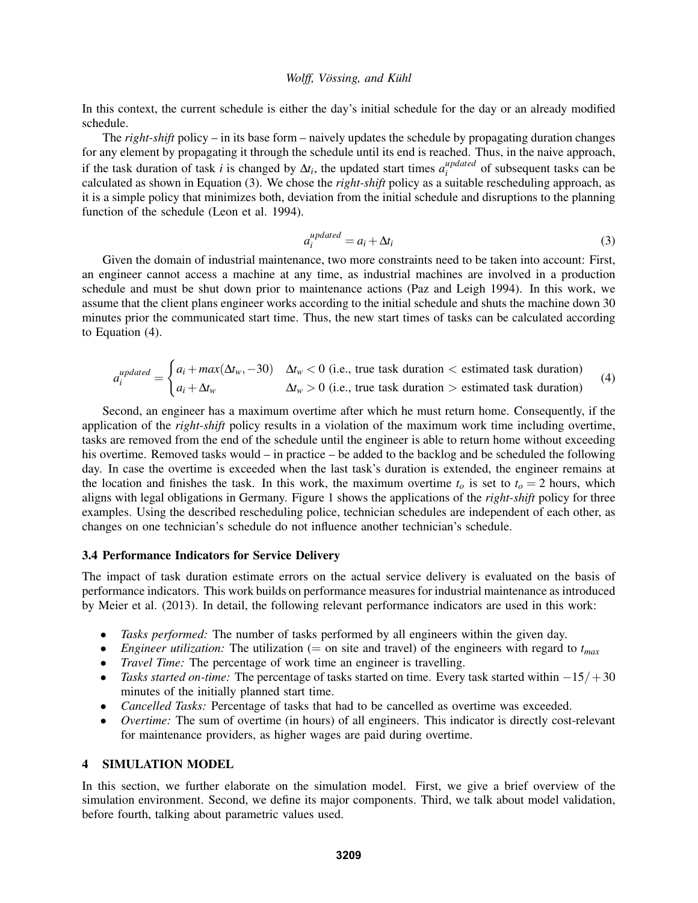In this context, the current schedule is either the day's initial schedule for the day or an already modified schedule.

The *right-shift* policy – in its base form – naively updates the schedule by propagating duration changes for any element by propagating it through the schedule until its end is reached. Thus, in the naive approach, if the task duration of task *i* is changed by  $\Delta t_i$ , the updated start times  $a_i^{updated}$ *i*<sup>*upddled*</sup> of subsequent tasks can be calculated as shown in Equation (3). We chose the *right-shift* policy as a suitable rescheduling approach, as it is a simple policy that minimizes both, deviation from the initial schedule and disruptions to the planning function of the schedule (Leon et al. 1994).

$$
a_i^{updated} = a_i + \Delta t_i \tag{3}
$$

Given the domain of industrial maintenance, two more constraints need to be taken into account: First, an engineer cannot access a machine at any time, as industrial machines are involved in a production schedule and must be shut down prior to maintenance actions (Paz and Leigh 1994). In this work, we assume that the client plans engineer works according to the initial schedule and shuts the machine down 30 minutes prior the communicated start time. Thus, the new start times of tasks can be calculated according to Equation (4).

$$
a_i^{updated} = \begin{cases} a_i + max(\Delta t_w, -30) & \Delta t_w < 0 \text{ (i.e., true task duration} < \text{estimated task duration})\\ a_i + \Delta t_w & \Delta t_w > 0 \text{ (i.e., true task duration)} > \text{estimated task duration} \end{cases}
$$
(4)

Second, an engineer has a maximum overtime after which he must return home. Consequently, if the application of the *right-shift* policy results in a violation of the maximum work time including overtime, tasks are removed from the end of the schedule until the engineer is able to return home without exceeding his overtime. Removed tasks would – in practice – be added to the backlog and be scheduled the following day. In case the overtime is exceeded when the last task's duration is extended, the engineer remains at the location and finishes the task. In this work, the maximum overtime  $t<sub>o</sub>$  is set to  $t<sub>o</sub> = 2$  hours, which aligns with legal obligations in Germany. Figure 1 shows the applications of the *right-shift* policy for three examples. Using the described rescheduling police, technician schedules are independent of each other, as changes on one technician's schedule do not influence another technician's schedule.

### 3.4 Performance Indicators for Service Delivery

The impact of task duration estimate errors on the actual service delivery is evaluated on the basis of performance indicators. This work builds on performance measures for industrial maintenance as introduced by Meier et al. (2013). In detail, the following relevant performance indicators are used in this work:

- *Tasks performed:* The number of tasks performed by all engineers within the given day.
- *Engineer utilization:* The utilization (= on site and travel) of the engineers with regard to  $t_{max}$
- *Travel Time:* The percentage of work time an engineer is travelling.
- *Tasks started on-time:* The percentage of tasks started on time. Every task started within −15/+30 minutes of the initially planned start time.
- *Cancelled Tasks:* Percentage of tasks that had to be cancelled as overtime was exceeded.
- *Overtime:* The sum of overtime (in hours) of all engineers. This indicator is directly cost-relevant for maintenance providers, as higher wages are paid during overtime.

## 4 SIMULATION MODEL

In this section, we further elaborate on the simulation model. First, we give a brief overview of the simulation environment. Second, we define its major components. Third, we talk about model validation, before fourth, talking about parametric values used.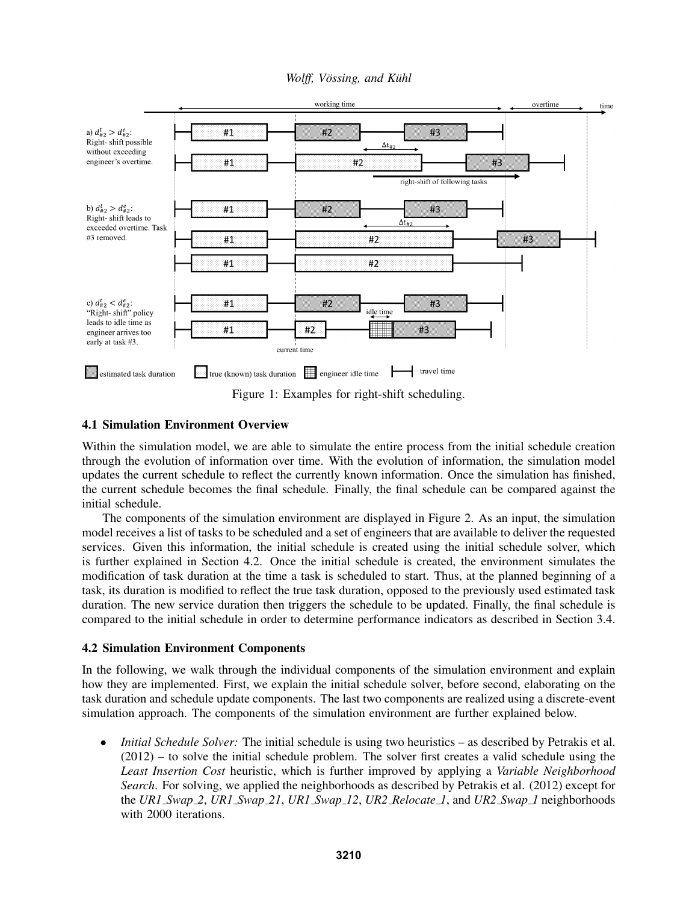*Wolff, Vössing, and Kühl* 



Figure 1: Examples for right-shift scheduling.

## 4.1 Simulation Environment Overview

Within the simulation model, we are able to simulate the entire process from the initial schedule creation through the evolution of information over time. With the evolution of information, the simulation model updates the current schedule to reflect the currently known information. Once the simulation has finished, the current schedule becomes the final schedule. Finally, the final schedule can be compared against the initial schedule.

The components of the simulation environment are displayed in Figure 2. As an input, the simulation model receives a list of tasks to be scheduled and a set of engineers that are available to deliver the requested services. Given this information, the initial schedule is created using the initial schedule solver, which is further explained in Section 4.2. Once the initial schedule is created, the environment simulates the modification of task duration at the time a task is scheduled to start. Thus, at the planned beginning of a task, its duration is modified to reflect the true task duration, opposed to the previously used estimated task duration. The new service duration then triggers the schedule to be updated. Finally, the final schedule is compared to the initial schedule in order to determine performance indicators as described in Section 3.4.

## 4.2 Simulation Environment Components

In the following, we walk through the individual components of the simulation environment and explain how they are implemented. First, we explain the initial schedule solver, before second, elaborating on the task duration and schedule update components. The last two components are realized using a discrete-event simulation approach. The components of the simulation environment are further explained below.

• *Initial Schedule Solver:* The initial schedule is using two heuristics – as described by Petrakis et al.  $(2012)$  – to solve the initial schedule problem. The solver first creates a valid schedule using the *Least Insertion Cost* heuristic, which is further improved by applying a *Variable Neighborhood Search*. For solving, we applied the neighborhoods as described by Petrakis et al. (2012) except for the *UR1 Swap 2*, *UR1 Swap 21*, *UR1 Swap 12*, *UR2 Relocate 1*, and *UR2 Swap 1* neighborhoods with 2000 iterations.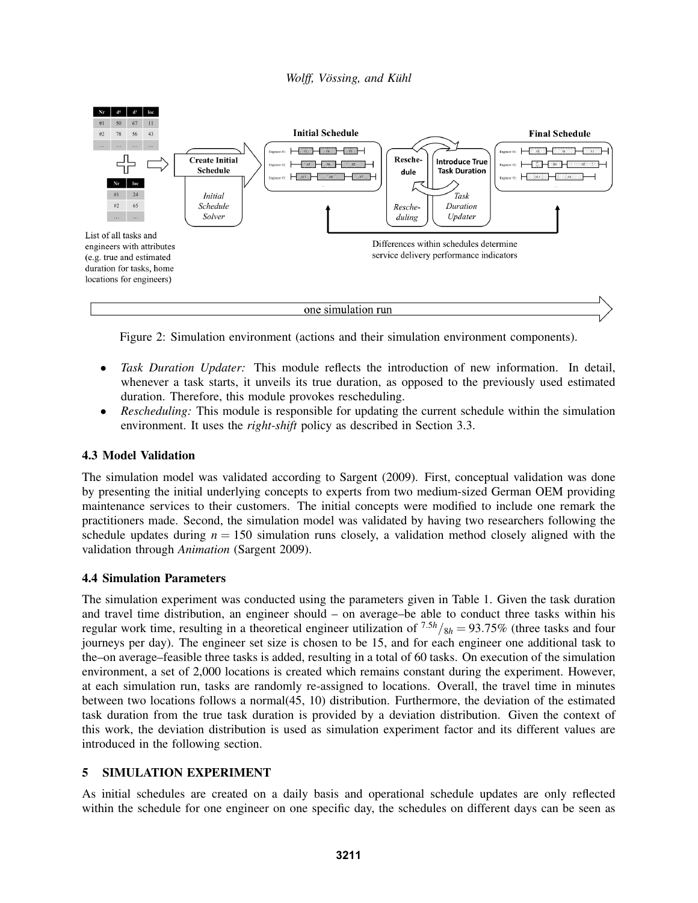

Figure 2: Simulation environment (actions and their simulation environment components).

- *Task Duration Updater:* This module reflects the introduction of new information. In detail, whenever a task starts, it unveils its true duration, as opposed to the previously used estimated duration. Therefore, this module provokes rescheduling.
- *Rescheduling:* This module is responsible for updating the current schedule within the simulation environment. It uses the *right-shift* policy as described in Section 3.3.

# 4.3 Model Validation

The simulation model was validated according to Sargent (2009). First, conceptual validation was done by presenting the initial underlying concepts to experts from two medium-sized German OEM providing maintenance services to their customers. The initial concepts were modified to include one remark the practitioners made. Second, the simulation model was validated by having two researchers following the schedule updates during  $n = 150$  simulation runs closely, a validation method closely aligned with the validation through *Animation* (Sargent 2009).

## 4.4 Simulation Parameters

The simulation experiment was conducted using the parameters given in Table 1. Given the task duration and travel time distribution, an engineer should – on average–be able to conduct three tasks within his regular work time, resulting in a theoretical engineer utilization of  $7.5h/8h = 93.75\%$  (three tasks and four journeys per day). The engineer set size is chosen to be 15, and for each engineer one additional task to the–on average–feasible three tasks is added, resulting in a total of 60 tasks. On execution of the simulation environment, a set of 2,000 locations is created which remains constant during the experiment. However, at each simulation run, tasks are randomly re-assigned to locations. Overall, the travel time in minutes between two locations follows a normal(45, 10) distribution. Furthermore, the deviation of the estimated task duration from the true task duration is provided by a deviation distribution. Given the context of this work, the deviation distribution is used as simulation experiment factor and its different values are introduced in the following section.

# 5 SIMULATION EXPERIMENT

As initial schedules are created on a daily basis and operational schedule updates are only reflected within the schedule for one engineer on one specific day, the schedules on different days can be seen as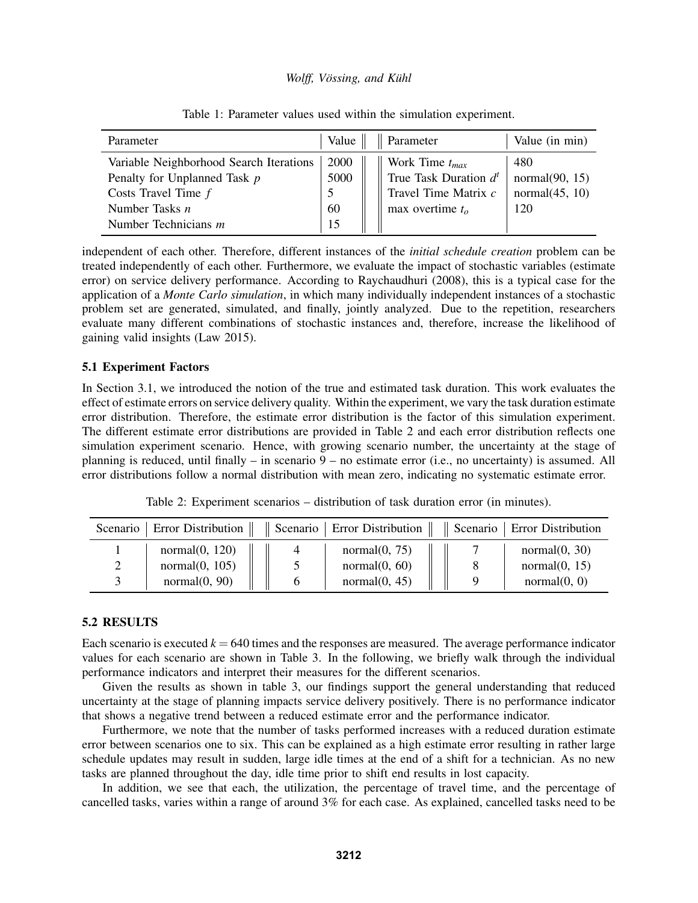| Parameter                                                                                                                                      | Value                    | $\parallel$ Parameter                                                                         | Value (in min)                                       |
|------------------------------------------------------------------------------------------------------------------------------------------------|--------------------------|-----------------------------------------------------------------------------------------------|------------------------------------------------------|
| Variable Neighborhood Search Iterations<br>Penalty for Unplanned Task p<br>Costs Travel Time $f$<br>Number Tasks $n$<br>Number Technicians $m$ | 2000<br>5000<br>60<br>15 | Work Time $t_{max}$<br>True Task Duration $d^t$<br>Travel Time Matrix c<br>max overtime $t_o$ | 480<br>normal $(90, 15)$<br>normal $(45, 10)$<br>120 |

Table 1: Parameter values used within the simulation experiment.

independent of each other. Therefore, different instances of the *initial schedule creation* problem can be treated independently of each other. Furthermore, we evaluate the impact of stochastic variables (estimate error) on service delivery performance. According to Raychaudhuri (2008), this is a typical case for the application of a *Monte Carlo simulation*, in which many individually independent instances of a stochastic problem set are generated, simulated, and finally, jointly analyzed. Due to the repetition, researchers evaluate many different combinations of stochastic instances and, therefore, increase the likelihood of gaining valid insights (Law 2015).

## 5.1 Experiment Factors

In Section 3.1, we introduced the notion of the true and estimated task duration. This work evaluates the effect of estimate errors on service delivery quality. Within the experiment, we vary the task duration estimate error distribution. Therefore, the estimate error distribution is the factor of this simulation experiment. The different estimate error distributions are provided in Table 2 and each error distribution reflects one simulation experiment scenario. Hence, with growing scenario number, the uncertainty at the stage of planning is reduced, until finally – in scenario 9 – no estimate error (i.e., no uncertainty) is assumed. All error distributions follow a normal distribution with mean zero, indicating no systematic estimate error.

Table 2: Experiment scenarios – distribution of task duration error (in minutes).

| Scenario | Error Distribution $\ $ | $\parallel$ Scenario $\parallel$ Error Distribution $\parallel$ $\parallel$ Scenario $\parallel$ Error Distribution |                  |
|----------|-------------------------|---------------------------------------------------------------------------------------------------------------------|------------------|
|          | normal(0, 120)          | normal $(0, 75)$                                                                                                    | normal(0, 30)    |
|          | normal(0, 105)          | normal $(0, 60)$                                                                                                    | normal $(0, 15)$ |
|          | normal(0, 90)           | normal(0, 45)                                                                                                       | normal(0, 0)     |

# 5.2 RESULTS

Each scenario is executed  $k = 640$  times and the responses are measured. The average performance indicator values for each scenario are shown in Table 3. In the following, we briefly walk through the individual performance indicators and interpret their measures for the different scenarios.

Given the results as shown in table 3, our findings support the general understanding that reduced uncertainty at the stage of planning impacts service delivery positively. There is no performance indicator that shows a negative trend between a reduced estimate error and the performance indicator.

Furthermore, we note that the number of tasks performed increases with a reduced duration estimate error between scenarios one to six. This can be explained as a high estimate error resulting in rather large schedule updates may result in sudden, large idle times at the end of a shift for a technician. As no new tasks are planned throughout the day, idle time prior to shift end results in lost capacity.

In addition, we see that each, the utilization, the percentage of travel time, and the percentage of cancelled tasks, varies within a range of around 3% for each case. As explained, cancelled tasks need to be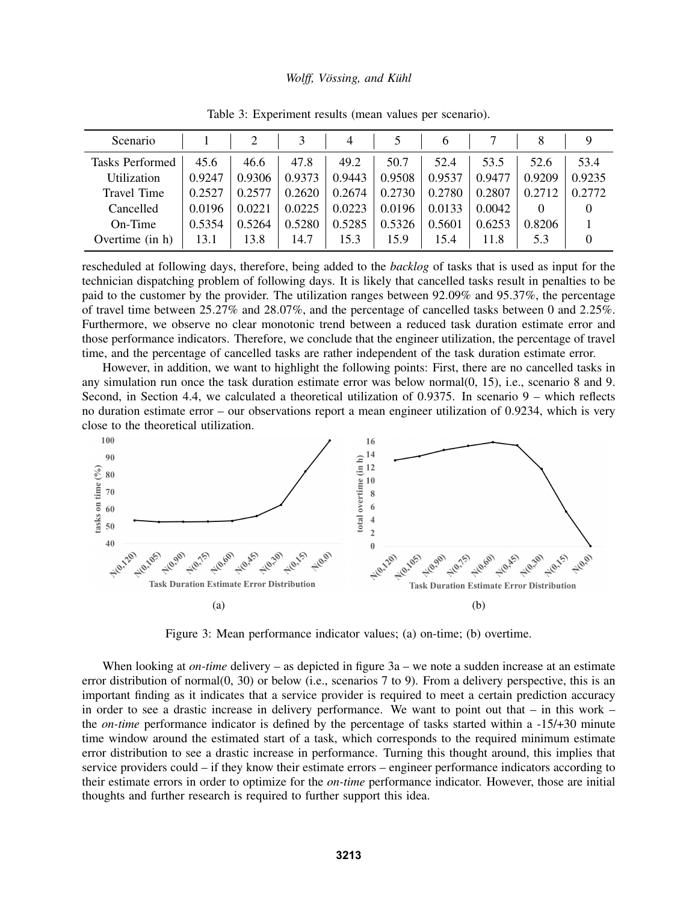| Scenario               |        |        |        | 4      |        | $\mathfrak b$ |        |        | Q      |
|------------------------|--------|--------|--------|--------|--------|---------------|--------|--------|--------|
| <b>Tasks Performed</b> | 45.6   | 46.6   | 47.8   | 49.2   | 50.7   | 52.4          | 53.5   | 52.6   | 53.4   |
| <b>Utilization</b>     | 0.9247 | 0.9306 | 0.9373 | 0.9443 | 0.9508 | 0.9537        | 0.9477 | 0.9209 | 0.9235 |
| <b>Travel Time</b>     | 0.2527 | 0.257' | 0.2620 | 0.2674 | 0.2730 | 0.2780        | 0.2807 | 0.2712 | 0.2772 |
| Cancelled              | 0.0196 | 0.0221 | 0.0225 | 0.0223 | 0.0196 | 0.0133        | 0.0042 |        |        |
| On-Time                | 0.5354 | 0.5264 | 0.5280 | 0.5285 | 0.5326 | 0.5601        | 0.6253 | 0.8206 |        |
| Overtime (in h)        | 13.1   | 13.8   | 14.7   | 15.3   | 15.9   | 15.4          | 11.8   | 5.3    |        |

Table 3: Experiment results (mean values per scenario).

rescheduled at following days, therefore, being added to the *backlog* of tasks that is used as input for the technician dispatching problem of following days. It is likely that cancelled tasks result in penalties to be paid to the customer by the provider. The utilization ranges between 92.09% and 95.37%, the percentage of travel time between 25.27% and 28.07%, and the percentage of cancelled tasks between 0 and 2.25%. Furthermore, we observe no clear monotonic trend between a reduced task duration estimate error and those performance indicators. Therefore, we conclude that the engineer utilization, the percentage of travel time, and the percentage of cancelled tasks are rather independent of the task duration estimate error.

However, in addition, we want to highlight the following points: First, there are no cancelled tasks in any simulation run once the task duration estimate error was below normal(0, 15), i.e., scenario 8 and 9. Second, in Section 4.4, we calculated a theoretical utilization of 0.9375. In scenario 9 – which reflects no duration estimate error – our observations report a mean engineer utilization of 0.9234, which is very close to the theoretical utilization.



Figure 3: Mean performance indicator values; (a) on-time; (b) overtime.

When looking at *on-time* delivery – as depicted in figure 3a – we note a sudden increase at an estimate error distribution of normal(0, 30) or below (i.e., scenarios 7 to 9). From a delivery perspective, this is an important finding as it indicates that a service provider is required to meet a certain prediction accuracy in order to see a drastic increase in delivery performance. We want to point out that  $-$  in this work  $$ the *on-time* performance indicator is defined by the percentage of tasks started within a -15/+30 minute time window around the estimated start of a task, which corresponds to the required minimum estimate error distribution to see a drastic increase in performance. Turning this thought around, this implies that service providers could – if they know their estimate errors – engineer performance indicators according to their estimate errors in order to optimize for the *on-time* performance indicator. However, those are initial thoughts and further research is required to further support this idea.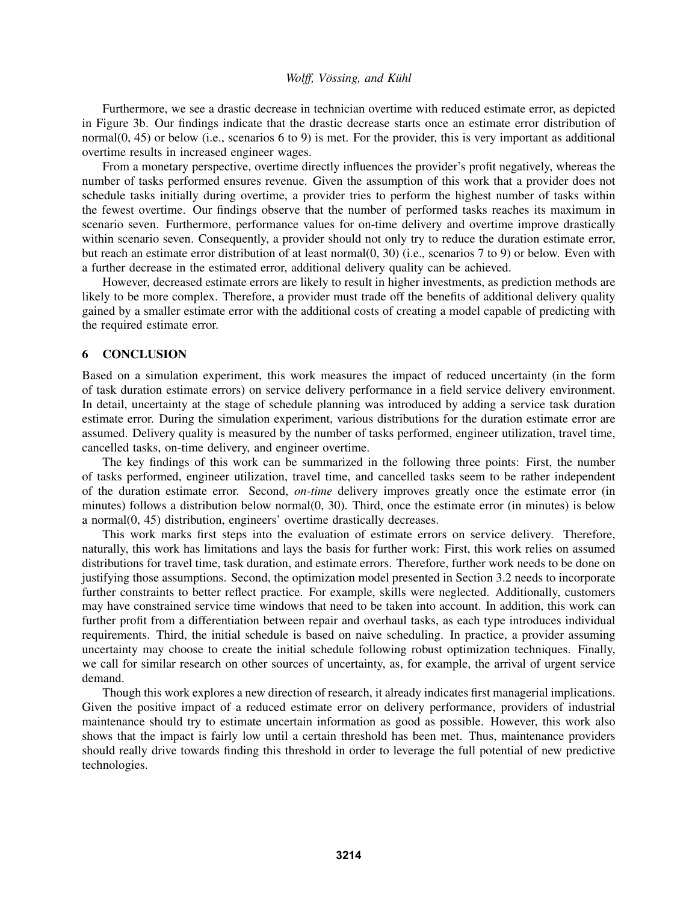Furthermore, we see a drastic decrease in technician overtime with reduced estimate error, as depicted in Figure 3b. Our findings indicate that the drastic decrease starts once an estimate error distribution of normal(0, 45) or below (i.e., scenarios 6 to 9) is met. For the provider, this is very important as additional overtime results in increased engineer wages.

From a monetary perspective, overtime directly influences the provider's profit negatively, whereas the number of tasks performed ensures revenue. Given the assumption of this work that a provider does not schedule tasks initially during overtime, a provider tries to perform the highest number of tasks within the fewest overtime. Our findings observe that the number of performed tasks reaches its maximum in scenario seven. Furthermore, performance values for on-time delivery and overtime improve drastically within scenario seven. Consequently, a provider should not only try to reduce the duration estimate error, but reach an estimate error distribution of at least normal(0, 30) (i.e., scenarios 7 to 9) or below. Even with a further decrease in the estimated error, additional delivery quality can be achieved.

However, decreased estimate errors are likely to result in higher investments, as prediction methods are likely to be more complex. Therefore, a provider must trade off the benefits of additional delivery quality gained by a smaller estimate error with the additional costs of creating a model capable of predicting with the required estimate error.

## 6 CONCLUSION

Based on a simulation experiment, this work measures the impact of reduced uncertainty (in the form of task duration estimate errors) on service delivery performance in a field service delivery environment. In detail, uncertainty at the stage of schedule planning was introduced by adding a service task duration estimate error. During the simulation experiment, various distributions for the duration estimate error are assumed. Delivery quality is measured by the number of tasks performed, engineer utilization, travel time, cancelled tasks, on-time delivery, and engineer overtime.

The key findings of this work can be summarized in the following three points: First, the number of tasks performed, engineer utilization, travel time, and cancelled tasks seem to be rather independent of the duration estimate error. Second, *on-time* delivery improves greatly once the estimate error (in minutes) follows a distribution below normal(0, 30). Third, once the estimate error (in minutes) is below a normal(0, 45) distribution, engineers' overtime drastically decreases.

This work marks first steps into the evaluation of estimate errors on service delivery. Therefore, naturally, this work has limitations and lays the basis for further work: First, this work relies on assumed distributions for travel time, task duration, and estimate errors. Therefore, further work needs to be done on justifying those assumptions. Second, the optimization model presented in Section 3.2 needs to incorporate further constraints to better reflect practice. For example, skills were neglected. Additionally, customers may have constrained service time windows that need to be taken into account. In addition, this work can further profit from a differentiation between repair and overhaul tasks, as each type introduces individual requirements. Third, the initial schedule is based on naive scheduling. In practice, a provider assuming uncertainty may choose to create the initial schedule following robust optimization techniques. Finally, we call for similar research on other sources of uncertainty, as, for example, the arrival of urgent service demand.

Though this work explores a new direction of research, it already indicates first managerial implications. Given the positive impact of a reduced estimate error on delivery performance, providers of industrial maintenance should try to estimate uncertain information as good as possible. However, this work also shows that the impact is fairly low until a certain threshold has been met. Thus, maintenance providers should really drive towards finding this threshold in order to leverage the full potential of new predictive technologies.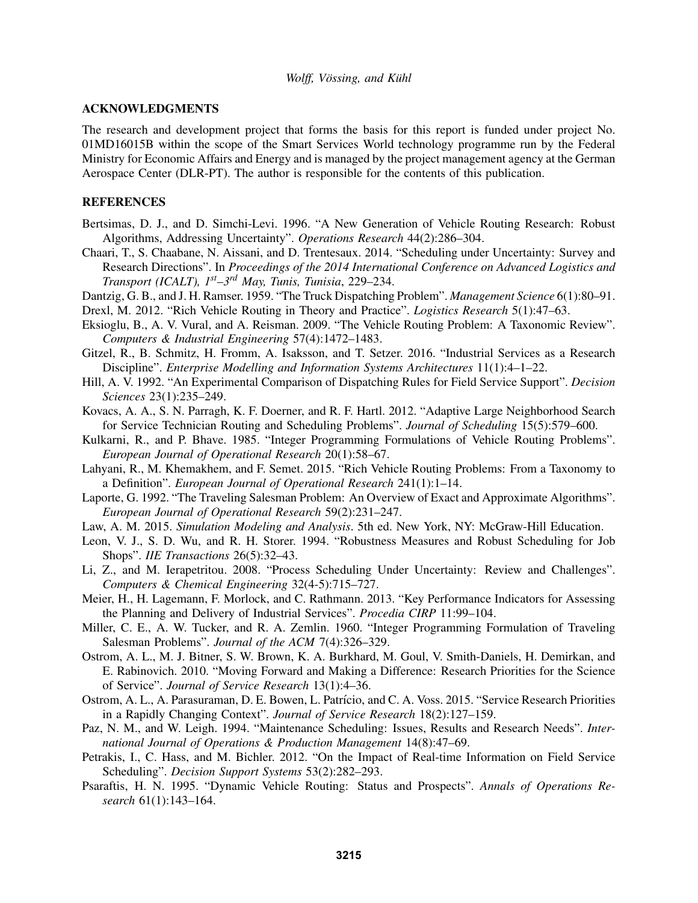### ACKNOWLEDGMENTS

The research and development project that forms the basis for this report is funded under project No. 01MD16015B within the scope of the Smart Services World technology programme run by the Federal Ministry for Economic Affairs and Energy and is managed by the project management agency at the German Aerospace Center (DLR-PT). The author is responsible for the contents of this publication.

### **REFERENCES**

- Bertsimas, D. J., and D. Simchi-Levi. 1996. "A New Generation of Vehicle Routing Research: Robust Algorithms, Addressing Uncertainty". *Operations Research* 44(2):286–304.
- Chaari, T., S. Chaabane, N. Aissani, and D. Trentesaux. 2014. "Scheduling under Uncertainty: Survey and Research Directions". In *Proceedings of the 2014 International Conference on Advanced Logistics and Transport (ICALT), 1st–3rd May, Tunis, Tunisia*, 229–234.
- Dantzig, G. B., and J. H. Ramser. 1959. "The Truck Dispatching Problem". *Management Science* 6(1):80–91.
- Drexl, M. 2012. "Rich Vehicle Routing in Theory and Practice". *Logistics Research* 5(1):47–63.
- Eksioglu, B., A. V. Vural, and A. Reisman. 2009. "The Vehicle Routing Problem: A Taxonomic Review". *Computers & Industrial Engineering* 57(4):1472–1483.
- Gitzel, R., B. Schmitz, H. Fromm, A. Isaksson, and T. Setzer. 2016. "Industrial Services as a Research Discipline". *Enterprise Modelling and Information Systems Architectures* 11(1):4–1–22.
- Hill, A. V. 1992. "An Experimental Comparison of Dispatching Rules for Field Service Support". *Decision Sciences* 23(1):235–249.
- Kovacs, A. A., S. N. Parragh, K. F. Doerner, and R. F. Hartl. 2012. "Adaptive Large Neighborhood Search for Service Technician Routing and Scheduling Problems". *Journal of Scheduling* 15(5):579–600.
- Kulkarni, R., and P. Bhave. 1985. "Integer Programming Formulations of Vehicle Routing Problems". *European Journal of Operational Research* 20(1):58–67.
- Lahyani, R., M. Khemakhem, and F. Semet. 2015. "Rich Vehicle Routing Problems: From a Taxonomy to a Definition". *European Journal of Operational Research* 241(1):1–14.
- Laporte, G. 1992. "The Traveling Salesman Problem: An Overview of Exact and Approximate Algorithms". *European Journal of Operational Research* 59(2):231–247.
- Law, A. M. 2015. *Simulation Modeling and Analysis*. 5th ed. New York, NY: McGraw-Hill Education.
- Leon, V. J., S. D. Wu, and R. H. Storer. 1994. "Robustness Measures and Robust Scheduling for Job Shops". *IIE Transactions* 26(5):32–43.
- Li, Z., and M. Ierapetritou. 2008. "Process Scheduling Under Uncertainty: Review and Challenges". *Computers & Chemical Engineering* 32(4-5):715–727.
- Meier, H., H. Lagemann, F. Morlock, and C. Rathmann. 2013. "Key Performance Indicators for Assessing the Planning and Delivery of Industrial Services". *Procedia CIRP* 11:99–104.
- Miller, C. E., A. W. Tucker, and R. A. Zemlin. 1960. "Integer Programming Formulation of Traveling Salesman Problems". *Journal of the ACM* 7(4):326–329.
- Ostrom, A. L., M. J. Bitner, S. W. Brown, K. A. Burkhard, M. Goul, V. Smith-Daniels, H. Demirkan, and E. Rabinovich. 2010. "Moving Forward and Making a Difference: Research Priorities for the Science of Service". *Journal of Service Research* 13(1):4–36.
- Ostrom, A. L., A. Parasuraman, D. E. Bowen, L. Patrício, and C. A. Voss. 2015. "Service Research Priorities in a Rapidly Changing Context". *Journal of Service Research* 18(2):127–159.
- Paz, N. M., and W. Leigh. 1994. "Maintenance Scheduling: Issues, Results and Research Needs". *International Journal of Operations & Production Management* 14(8):47–69.
- Petrakis, I., C. Hass, and M. Bichler. 2012. "On the Impact of Real-time Information on Field Service Scheduling". *Decision Support Systems* 53(2):282–293.
- Psaraftis, H. N. 1995. "Dynamic Vehicle Routing: Status and Prospects". *Annals of Operations Research* 61(1):143–164.